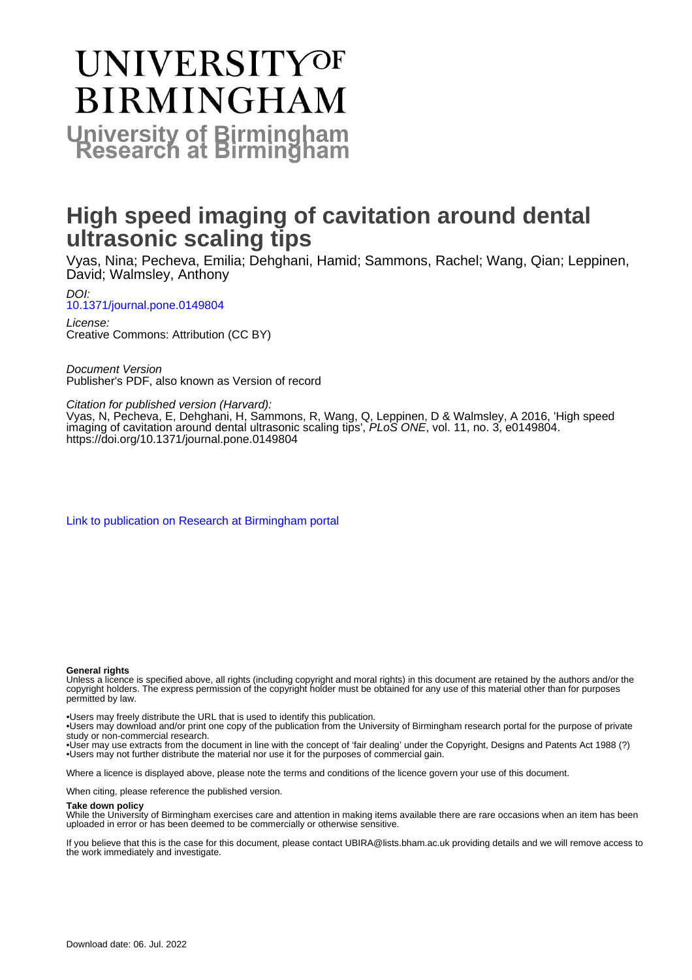# **UNIVERSITYOF BIRMINGHAM University of Birmingham**

### **High speed imaging of cavitation around dental ultrasonic scaling tips**

Vyas, Nina; Pecheva, Emilia; Dehghani, Hamid; Sammons, Rachel; Wang, Qian; Leppinen, David; Walmsley, Anthony

DOI: [10.1371/journal.pone.0149804](https://doi.org/10.1371/journal.pone.0149804)

License: Creative Commons: Attribution (CC BY)

Document Version Publisher's PDF, also known as Version of record

Citation for published version (Harvard):

Vyas, N, Pecheva, E, Dehghani, H, Sammons, R, Wang, Q, Leppinen, D & Walmsley, A 2016, 'High speed imaging of cavitation around dental ultrasonic scaling tips', PLoS ONE, vol. 11, no. 3, e0149804. <https://doi.org/10.1371/journal.pone.0149804>

[Link to publication on Research at Birmingham portal](https://birmingham.elsevierpure.com/en/publications/3076f142-d08c-4033-a3bb-070913a42e36)

#### **General rights**

Unless a licence is specified above, all rights (including copyright and moral rights) in this document are retained by the authors and/or the copyright holders. The express permission of the copyright holder must be obtained for any use of this material other than for purposes permitted by law.

• Users may freely distribute the URL that is used to identify this publication.

• Users may download and/or print one copy of the publication from the University of Birmingham research portal for the purpose of private study or non-commercial research.

• User may use extracts from the document in line with the concept of 'fair dealing' under the Copyright, Designs and Patents Act 1988 (?) • Users may not further distribute the material nor use it for the purposes of commercial gain.

Where a licence is displayed above, please note the terms and conditions of the licence govern your use of this document.

When citing, please reference the published version.

#### **Take down policy**

While the University of Birmingham exercises care and attention in making items available there are rare occasions when an item has been uploaded in error or has been deemed to be commercially or otherwise sensitive.

If you believe that this is the case for this document, please contact UBIRA@lists.bham.ac.uk providing details and we will remove access to the work immediately and investigate.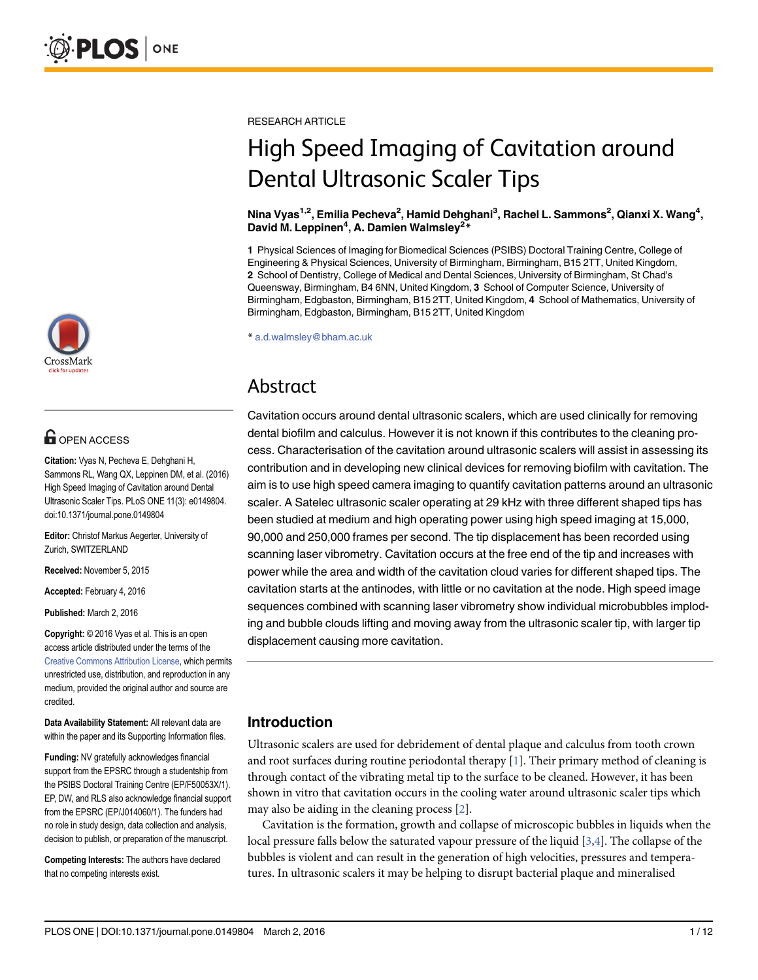

### **G** OPEN ACCESS

Citation: Vyas N, Pecheva E, Dehghani H, Sammons RL, Wang QX, Leppinen DM, et al. (2016) High Speed Imaging of Cavitation around Dental Ultrasonic Scaler Tips. PLoS ONE 11(3): e0149804. doi:10.1371/journal.pone.0149804

Editor: Christof Markus Aegerter, University of Zurich, SWITZERLAND

Received: November 5, 2015

Accepted: February 4, 2016

Published: March 2, 2016

Copyright: © 2016 Vyas et al. This is an open access article distributed under the terms of the [Creative Commons Attribution License,](http://creativecommons.org/licenses/by/4.0/) which permits unrestricted use, distribution, and reproduction in any medium, provided the original author and source are credited.

Data Availability Statement: All relevant data are within the paper and its Supporting Information files.

Funding: NV gratefully acknowledges financial support from the EPSRC through a studentship from the PSIBS Doctoral Training Centre (EP/F50053X/1). EP, DW, and RLS also acknowledge financial support from the EPSRC (EP/J014060/1). The funders had no role in study design, data collection and analysis, decision to publish, or preparation of the manuscript.

Competing Interests: The authors have declared that no competing interests exist.

<span id="page-1-0"></span>RESEARCH ARTICLE

## High Speed Imaging of Cavitation around Dental Ultrasonic Scaler Tips

Nina Vyas<sup>1,2</sup>, Emilia Pecheva<sup>2</sup>, Hamid Dehghani<sup>3</sup>, Rachel L. Sammons<sup>2</sup>, Qianxi X. Wang<sup>4</sup>, David M. Leppinen<sup>4</sup>, A. Damien Walmsley<sup>2\*</sup>

1 Physical Sciences of Imaging for Biomedical Sciences (PSIBS) Doctoral Training Centre, College of Engineering & Physical Sciences, University of Birmingham, Birmingham, B15 2TT, United Kingdom, 2 School of Dentistry, College of Medical and Dental Sciences, University of Birmingham, St Chad's Queensway, Birmingham, B4 6NN, United Kingdom, 3 School of Computer Science, University of Birmingham, Edgbaston, Birmingham, B15 2TT, United Kingdom, 4 School of Mathematics, University of Birmingham, Edgbaston, Birmingham, B15 2TT, United Kingdom

\* a.d.walmsley@bham.ac.uk

### Abstract

Cavitation occurs around dental ultrasonic scalers, which are used clinically for removing dental biofilm and calculus. However it is not known if this contributes to the cleaning process. Characterisation of the cavitation around ultrasonic scalers will assist in assessing its contribution and in developing new clinical devices for removing biofilm with cavitation. The aim is to use high speed camera imaging to quantify cavitation patterns around an ultrasonic scaler. A Satelec ultrasonic scaler operating at 29 kHz with three different shaped tips has been studied at medium and high operating power using high speed imaging at 15,000, 90,000 and 250,000 frames per second. The tip displacement has been recorded using scanning laser vibrometry. Cavitation occurs at the free end of the tip and increases with power while the area and width of the cavitation cloud varies for different shaped tips. The cavitation starts at the antinodes, with little or no cavitation at the node. High speed image sequences combined with scanning laser vibrometry show individual microbubbles imploding and bubble clouds lifting and moving away from the ultrasonic scaler tip, with larger tip displacement causing more cavitation.

#### Introduction

Ultrasonic scalers are used for debridement of dental plaque and calculus from tooth crown and root surfaces during routine periodontal therapy  $[1]$  $[1]$  $[1]$ . Their primary method of cleaning is through contact of the vibrating metal tip to the surface to be cleaned. However, it has been shown in vitro that cavitation occurs in the cooling water around ultrasonic scaler tips which may also be aiding in the cleaning process [[2\]](#page-11-0).

Cavitation is the formation, growth and collapse of microscopic bubbles in liquids when the local pressure falls below the saturated vapour pressure of the liquid [\[3,4](#page-11-0)]. The collapse of the bubbles is violent and can result in the generation of high velocities, pressures and temperatures. In ultrasonic scalers it may be helping to disrupt bacterial plaque and mineralised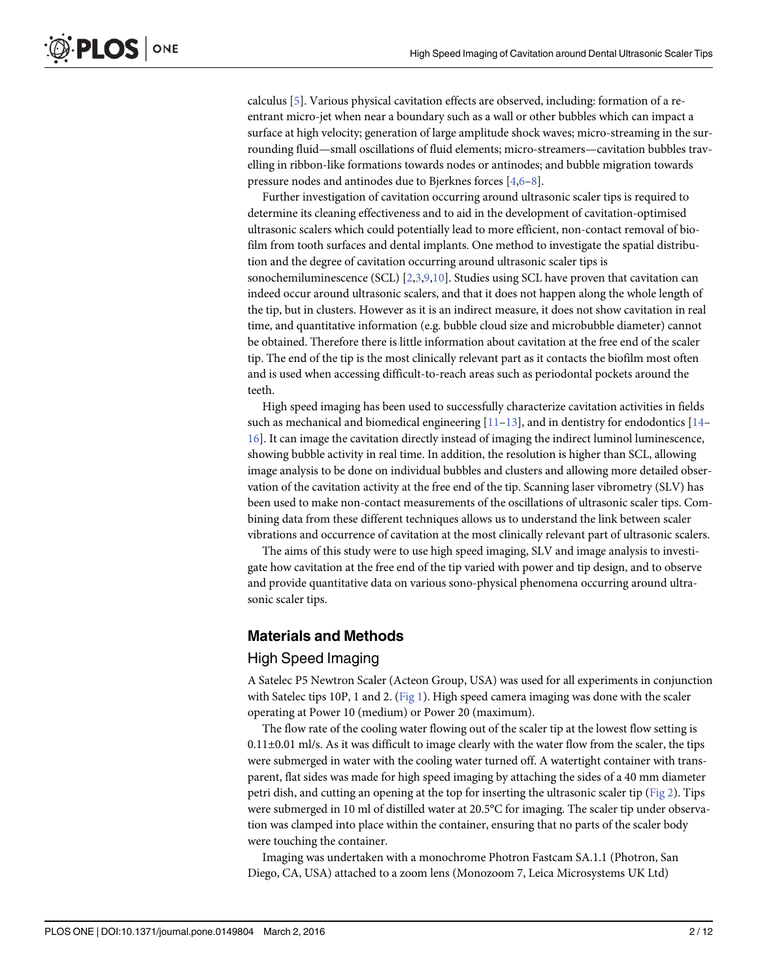<span id="page-2-0"></span>calculus [\[5](#page-11-0)]. Various physical cavitation effects are observed, including: formation of a reentrant micro-jet when near a boundary such as a wall or other bubbles which can impact a surface at high velocity; generation of large amplitude shock waves; micro-streaming in the surrounding fluid—small oscillations of fluid elements; micro-streamers—cavitation bubbles travelling in ribbon-like formations towards nodes or antinodes; and bubble migration towards pressure nodes and antinodes due to Bjerknes forces  $[4,6-8]$  $[4,6-8]$  $[4,6-8]$ .

Further investigation of cavitation occurring around ultrasonic scaler tips is required to determine its cleaning effectiveness and to aid in the development of cavitation-optimised ultrasonic scalers which could potentially lead to more efficient, non-contact removal of biofilm from tooth surfaces and dental implants. One method to investigate the spatial distribution and the degree of cavitation occurring around ultrasonic scaler tips is sonochemiluminescence (SCL)  $[2,3,9,10]$  $[2,3,9,10]$  $[2,3,9,10]$  $[2,3,9,10]$  $[2,3,9,10]$  $[2,3,9,10]$  $[2,3,9,10]$  $[2,3,9,10]$  $[2,3,9,10]$ . Studies using SCL have proven that cavitation can indeed occur around ultrasonic scalers, and that it does not happen along the whole length of the tip, but in clusters. However as it is an indirect measure, it does not show cavitation in real time, and quantitative information (e.g. bubble cloud size and microbubble diameter) cannot be obtained. Therefore there is little information about cavitation at the free end of the scaler tip. The end of the tip is the most clinically relevant part as it contacts the biofilm most often and is used when accessing difficult-to-reach areas such as periodontal pockets around the teeth.

High speed imaging has been used to successfully characterize cavitation activities in fields such as mechanical and biomedical engineering  $[11-13]$  $[11-13]$  $[11-13]$  $[11-13]$  $[11-13]$ , and in dentistry for endodontics  $[14 [14-$ [16\]](#page-12-0). It can image the cavitation directly instead of imaging the indirect luminol luminescence, showing bubble activity in real time. In addition, the resolution is higher than SCL, allowing image analysis to be done on individual bubbles and clusters and allowing more detailed observation of the cavitation activity at the free end of the tip. Scanning laser vibrometry (SLV) has been used to make non-contact measurements of the oscillations of ultrasonic scaler tips. Combining data from these different techniques allows us to understand the link between scaler vibrations and occurrence of cavitation at the most clinically relevant part of ultrasonic scalers.

The aims of this study were to use high speed imaging, SLV and image analysis to investigate how cavitation at the free end of the tip varied with power and tip design, and to observe and provide quantitative data on various sono-physical phenomena occurring around ultrasonic scaler tips.

#### Materials and Methods

#### High Speed Imaging

A Satelec P5 Newtron Scaler (Acteon Group, USA) was used for all experiments in conjunction with Satelec tips 10P, 1 and 2. [\(Fig 1\)](#page-3-0). High speed camera imaging was done with the scaler operating at Power 10 (medium) or Power 20 (maximum).

The flow rate of the cooling water flowing out of the scaler tip at the lowest flow setting is  $0.11\pm0.01$  ml/s. As it was difficult to image clearly with the water flow from the scaler, the tips were submerged in water with the cooling water turned off. A watertight container with transparent, flat sides was made for high speed imaging by attaching the sides of a 40 mm diameter petri dish, and cutting an opening at the top for inserting the ultrasonic scaler tip ( $Fig 2$ ). Tips were submerged in 10 ml of distilled water at 20.5°C for imaging. The scaler tip under observation was clamped into place within the container, ensuring that no parts of the scaler body were touching the container.

Imaging was undertaken with a monochrome Photron Fastcam SA.1.1 (Photron, San Diego, CA, USA) attached to a zoom lens (Monozoom 7, Leica Microsystems UK Ltd)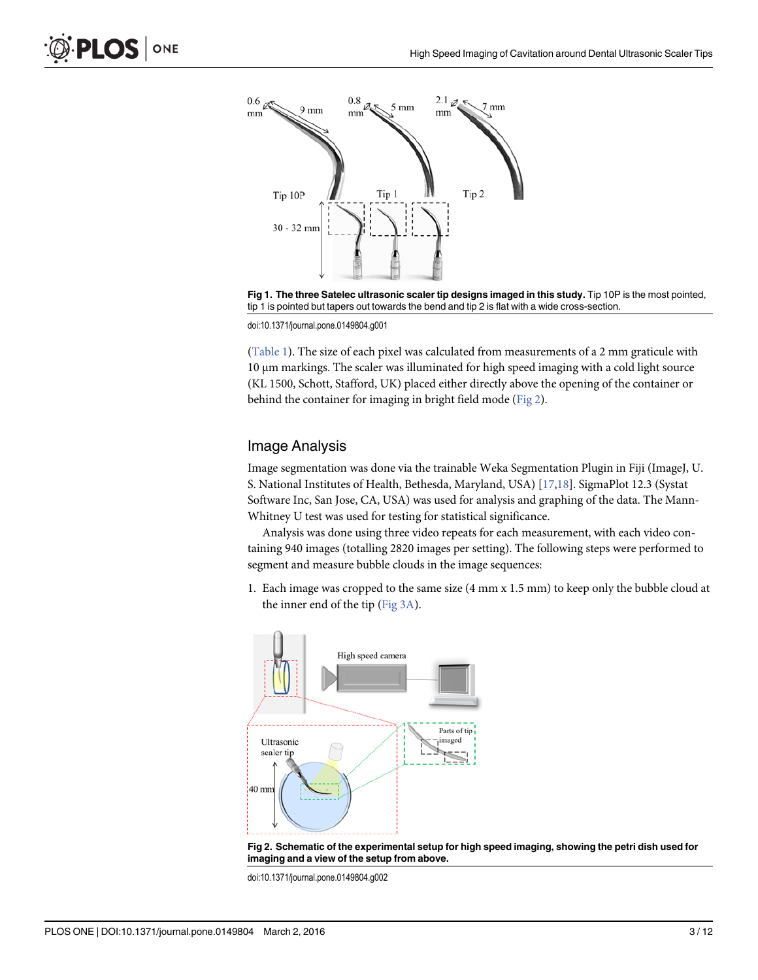<span id="page-3-0"></span>

[Fig 1. T](#page-2-0)he three Satelec ultrasonic scaler tip designs imaged in this study. Tip 10P is the most pointed, tip 1 is pointed but tapers out towards the bend and tip 2 is flat with a wide cross-section.

[\(Table 1\)](#page-4-0). The size of each pixel was calculated from measurements of a 2 mm graticule with 10 μm markings. The scaler was illuminated for high speed imaging with a cold light source (KL 1500, Schott, Stafford, UK) placed either directly above the opening of the container or behind the container for imaging in bright field mode (Fig 2).

#### Image Analysis

Image segmentation was done via the trainable Weka Segmentation Plugin in Fiji (ImageJ, U. S. National Institutes of Health, Bethesda, Maryland, USA) [\[17,18\]](#page-12-0). SigmaPlot 12.3 (Systat Software Inc, San Jose, CA, USA) was used for analysis and graphing of the data. The Mann-Whitney U test was used for testing for statistical significance.

Analysis was done using three video repeats for each measurement, with each video containing 940 images (totalling 2820 images per setting). The following steps were performed to segment and measure bubble clouds in the image sequences:

1. Each image was cropped to the same size (4 mm x 1.5 mm) to keep only the bubble cloud at the inner end of the tip [\(Fig 3A\)](#page-4-0).



[Fig 2. S](#page-2-0)chematic of the experimental setup for high speed imaging, showing the petri dish used for imaging and a view of the setup from above.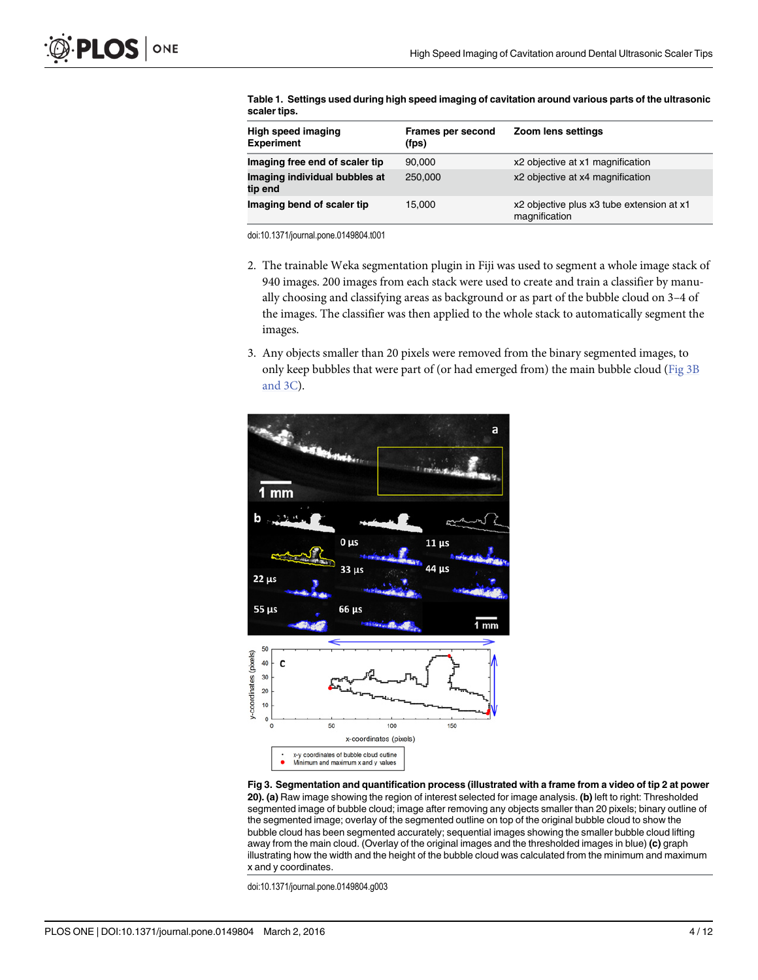| High speed imaging<br><b>Experiment</b>  | Frames per second<br>(fps) | Zoom lens settings                                         |
|------------------------------------------|----------------------------|------------------------------------------------------------|
| Imaging free end of scaler tip           | 90,000                     | x2 objective at x1 magnification                           |
| Imaging individual bubbles at<br>tip end | 250,000                    | x2 objective at x4 magnification                           |
| Imaging bend of scaler tip               | 15.000                     | x2 objective plus x3 tube extension at x1<br>magnification |

<span id="page-4-0"></span>[Table 1.](#page-2-0) Settings used during high speed imaging of cavitation around various parts of the ultrasonic scaler tips.

doi:10.1371/journal.pone.0149804.t001

- 2. The trainable Weka segmentation plugin in Fiji was used to segment a whole image stack of 940 images. 200 images from each stack were used to create and train a classifier by manually choosing and classifying areas as background or as part of the bubble cloud on 3–4 of the images. The classifier was then applied to the whole stack to automatically segment the images.
- 3. Any objects smaller than 20 pixels were removed from the binary segmented images, to only keep bubbles that were part of (or had emerged from) the main bubble cloud (Fig 3B and 3C).



[Fig 3. S](#page-3-0)egmentation and quantification process (illustrated with a frame from a video of tip 2 at power 20). (a) Raw image showing the region of interest selected for image analysis. (b) left to right: Thresholded segmented image of bubble cloud; image after removing any objects smaller than 20 pixels; binary outline of the segmented image; overlay of the segmented outline on top of the original bubble cloud to show the bubble cloud has been segmented accurately; sequential images showing the smaller bubble cloud lifting away from the main cloud. (Overlay of the original images and the thresholded images in blue) (c) graph illustrating how the width and the height of the bubble cloud was calculated from the minimum and maximum x and y coordinates.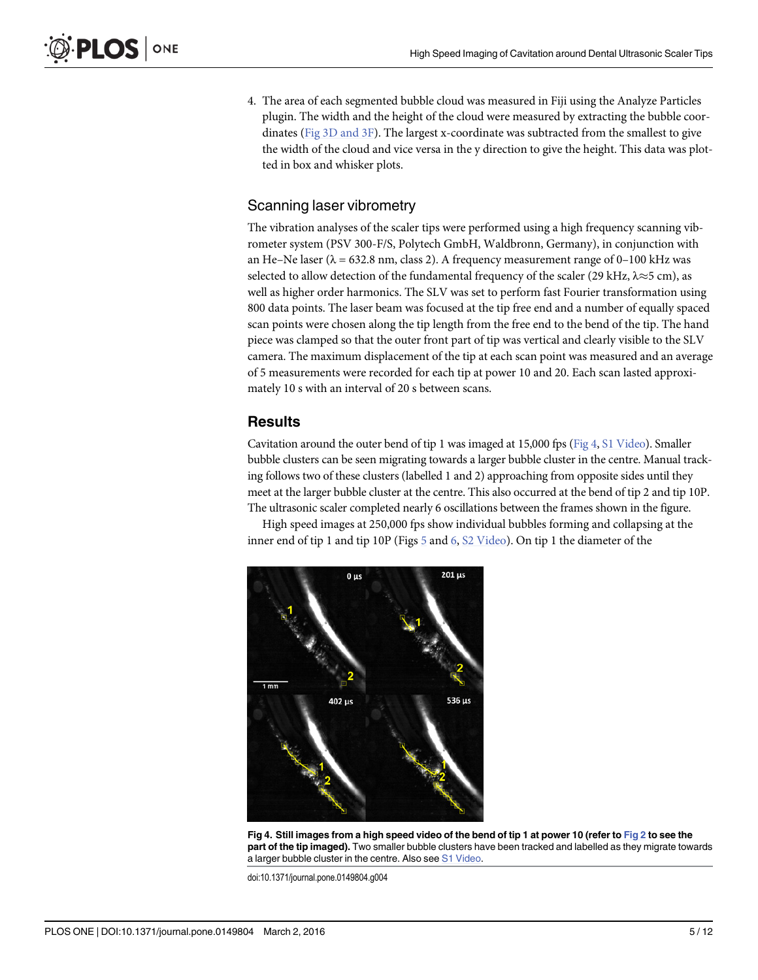<span id="page-5-0"></span>4. The area of each segmented bubble cloud was measured in Fiji using the Analyze Particles plugin. The width and the height of the cloud were measured by extracting the bubble coordinates (Fig  $3D$  and  $3F$ ). The largest x-coordinate was subtracted from the smallest to give the width of the cloud and vice versa in the y direction to give the height. This data was plotted in box and whisker plots.

#### Scanning laser vibrometry

The vibration analyses of the scaler tips were performed using a high frequency scanning vibrometer system (PSV 300-F/S, Polytech GmbH, Waldbronn, Germany), in conjunction with an He–Ne laser ( $\lambda$  = 632.8 nm, class 2). A frequency measurement range of 0–100 kHz was selected to allow detection of the fundamental frequency of the scaler (29 kHz,  $\lambda \approx 5$  cm), as well as higher order harmonics. The SLV was set to perform fast Fourier transformation using 800 data points. The laser beam was focused at the tip free end and a number of equally spaced scan points were chosen along the tip length from the free end to the bend of the tip. The hand piece was clamped so that the outer front part of tip was vertical and clearly visible to the SLV camera. The maximum displacement of the tip at each scan point was measured and an average of 5 measurements were recorded for each tip at power 10 and 20. Each scan lasted approximately 10 s with an interval of 20 s between scans.

#### **Results**

Cavitation around the outer bend of tip 1 was imaged at 15,000 fps (Fig 4, [S1 Video\)](#page-10-0). Smaller bubble clusters can be seen migrating towards a larger bubble cluster in the centre. Manual tracking follows two of these clusters (labelled 1 and 2) approaching from opposite sides until they meet at the larger bubble cluster at the centre. This also occurred at the bend of tip 2 and tip 10P. The ultrasonic scaler completed nearly 6 oscillations between the frames shown in the figure.

High speed images at 250,000 fps show individual bubbles forming and collapsing at the inner end of tip 1 and tip 10P (Figs  $\frac{5}{2}$  $\frac{5}{2}$  $\frac{5}{2}$  and  $\frac{6}{2}$  $\frac{6}{2}$  $\frac{6}{2}$ ,  $\frac{52 \text{ Video}}{2}$ ). On tip 1 the diameter of the



Fig 4. Still images from a high speed video of the bend of tip 1 at power 10 (refer to [Fig 2](#page-3-0) to see the part of the tip imaged). Two smaller bubble clusters have been tracked and labelled as they migrate towards a larger bubble cluster in the centre. Also see [S1 Video.](#page-10-0)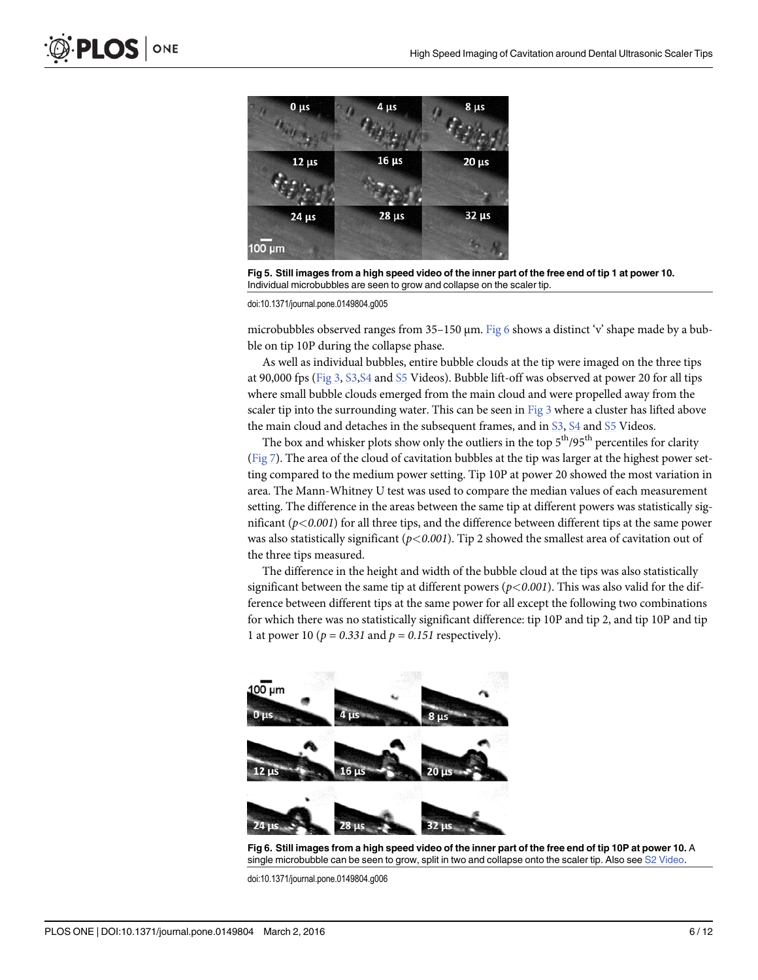<span id="page-6-0"></span>

[Fig 5. S](#page-5-0)till images from a high speed video of the inner part of the free end of tip 1 at power 10. Individual microbubbles are seen to grow and collapse on the scaler tip.

microbubbles observed ranges from  $35-150 \mu m$ . Fig 6 shows a distinct 'v' shape made by a bubble on tip 10P during the collapse phase.

As well as individual bubbles, entire bubble clouds at the tip were imaged on the three tips at 90,000 fps [\(Fig 3,](#page-4-0) [S3,](#page-10-0)[S4](#page-11-0) and [S5](#page-11-0) Videos). Bubble lift-off was observed at power 20 for all tips where small bubble clouds emerged from the main cloud and were propelled away from the scaler tip into the surrounding water. This can be seen in [Fig 3](#page-4-0) where a cluster has lifted above the main cloud and detaches in the subsequent frames, and in  $\S 3$ ,  $\S 4$  and  $\S 5$  Videos.

The box and whisker plots show only the outliers in the top  $5<sup>th</sup>/95<sup>th</sup>$  percentiles for clarity [\(Fig 7\)](#page-7-0). The area of the cloud of cavitation bubbles at the tip was larger at the highest power setting compared to the medium power setting. Tip 10P at power 20 showed the most variation in area. The Mann-Whitney U test was used to compare the median values of each measurement setting. The difference in the areas between the same tip at different powers was statistically significant  $(p<0.001)$  for all three tips, and the difference between different tips at the same power was also statistically significant ( $p < 0.001$ ). Tip 2 showed the smallest area of cavitation out of the three tips measured.

The difference in the height and width of the bubble cloud at the tips was also statistically significant between the same tip at different powers ( $p < 0.001$ ). This was also valid for the difference between different tips at the same power for all except the following two combinations for which there was no statistically significant difference: tip 10P and tip 2, and tip 10P and tip 1 at power 10 ( $p = 0.331$  and  $p = 0.151$  respectively).



[Fig 6. S](#page-5-0)till images from a high speed video of the inner part of the free end of tip 10P at power 10. A single microbubble can be seen to grow, split in two and collapse onto the scaler tip. Also see [S2 Video.](#page-10-0)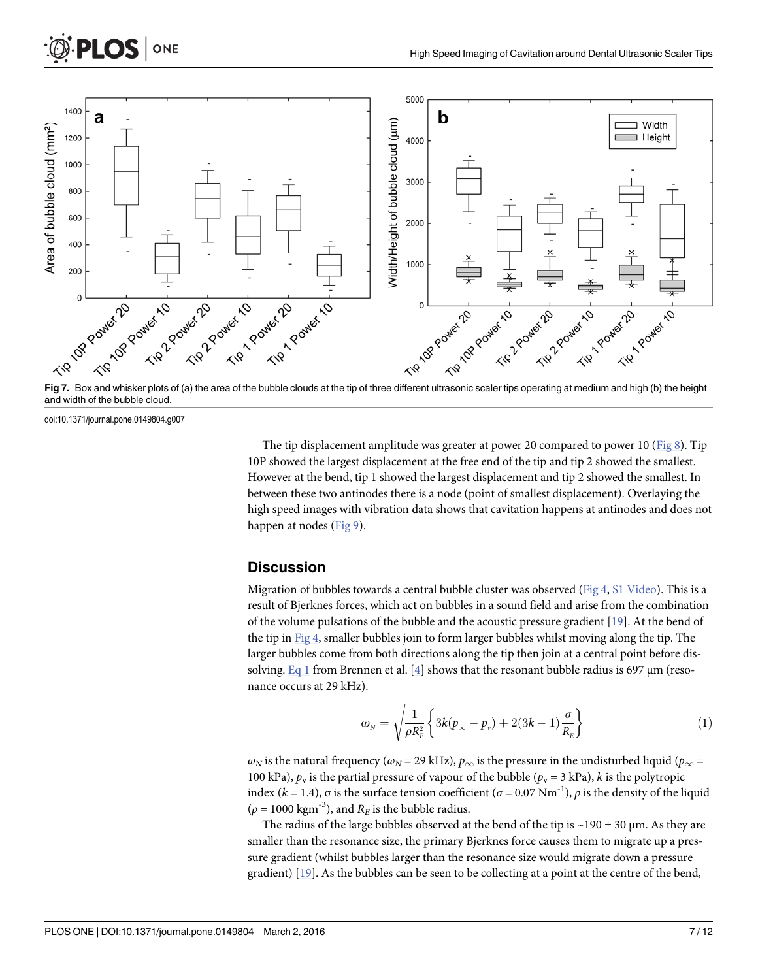<span id="page-7-0"></span>

and width of the bubble cloud.

The tip displacement amplitude was greater at power 20 compared to power 10 ( $Fig 8$ ). Tip 10P showed the largest displacement at the free end of the tip and tip 2 showed the smallest. However at the bend, tip 1 showed the largest displacement and tip 2 showed the smallest. In between these two antinodes there is a node (point of smallest displacement). Overlaying the high speed images with vibration data shows that cavitation happens at antinodes and does not happen at nodes ([Fig 9](#page-9-0)).

#### **Discussion**

Migration of bubbles towards a central bubble cluster was observed ( $Fig 4, S1$  $Fig 4, S1$  Video). This is a result of Bjerknes forces, which act on bubbles in a sound field and arise from the combination of the volume pulsations of the bubble and the acoustic pressure gradient [\[19\]](#page-12-0). At the bend of the tip in [Fig 4](#page-5-0), smaller bubbles join to form larger bubbles whilst moving along the tip. The larger bubbles come from both directions along the tip then join at a central point before dissolving. Eq 1 from Brennen et al. [ $4$ ] shows that the resonant bubble radius is 697  $\mu$ m (resonance occurs at 29 kHz).

$$
\omega_N = \sqrt{\frac{1}{\rho R_E^2} \left\{ 3k(p_\infty - p_v) + 2(3k - 1)\frac{\sigma}{R_E} \right\}}
$$
(1)

 $\omega_N$  is the natural frequency ( $\omega_N$  = 29 kHz),  $p_\infty$  is the pressure in the undisturbed liquid ( $p_\infty$  = 100 kPa),  $p_v$  is the partial pressure of vapour of the bubble ( $p_v = 3$  kPa), k is the polytropic index ( $k = 1.4$ ), σ is the surface tension coefficient ( $\sigma = 0.07$  Nm<sup>-1</sup>),  $\rho$  is the density of the liquid  $(\rho = 1000 \text{ kgm}^{-3})$ , and  $R_E$  is the bubble radius.

The radius of the large bubbles observed at the bend of the tip is  $\sim$ 190  $\pm$  30 µm. As they are smaller than the resonance size, the primary Bjerknes force causes them to migrate up a pressure gradient (whilst bubbles larger than the resonance size would migrate down a pressure gradient)  $[19]$ . As the bubbles can be seen to be collecting at a point at the centre of the bend,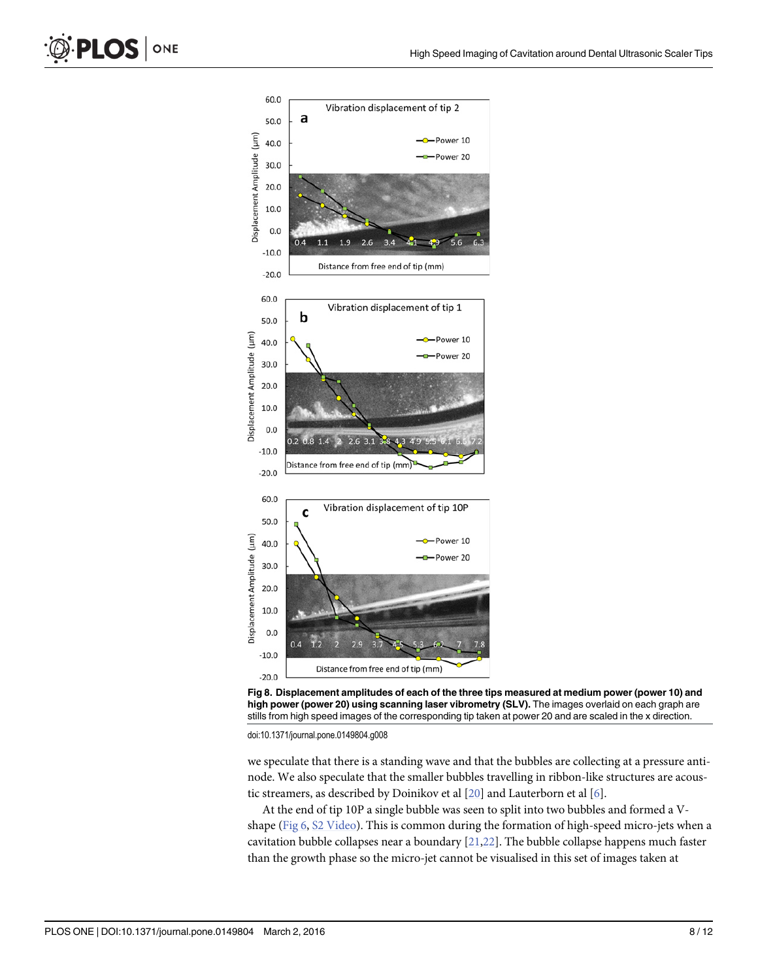<span id="page-8-0"></span>





we speculate that there is a standing wave and that the bubbles are collecting at a pressure antinode. We also speculate that the smaller bubbles travelling in ribbon-like structures are acoustic streamers, as described by Doinikov et al  $[20]$  $[20]$  and Lauterborn et al  $[6]$  $[6]$ .

At the end of tip 10P a single bubble was seen to split into two bubbles and formed a Vshape ( $Fig 6, S2 \text{ Video}$ ). This is common during the formation of high-speed micro-jets when a cavitation bubble collapses near a boundary  $[21,22]$ . The bubble collapse happens much faster than the growth phase so the micro-jet cannot be visualised in this set of images taken at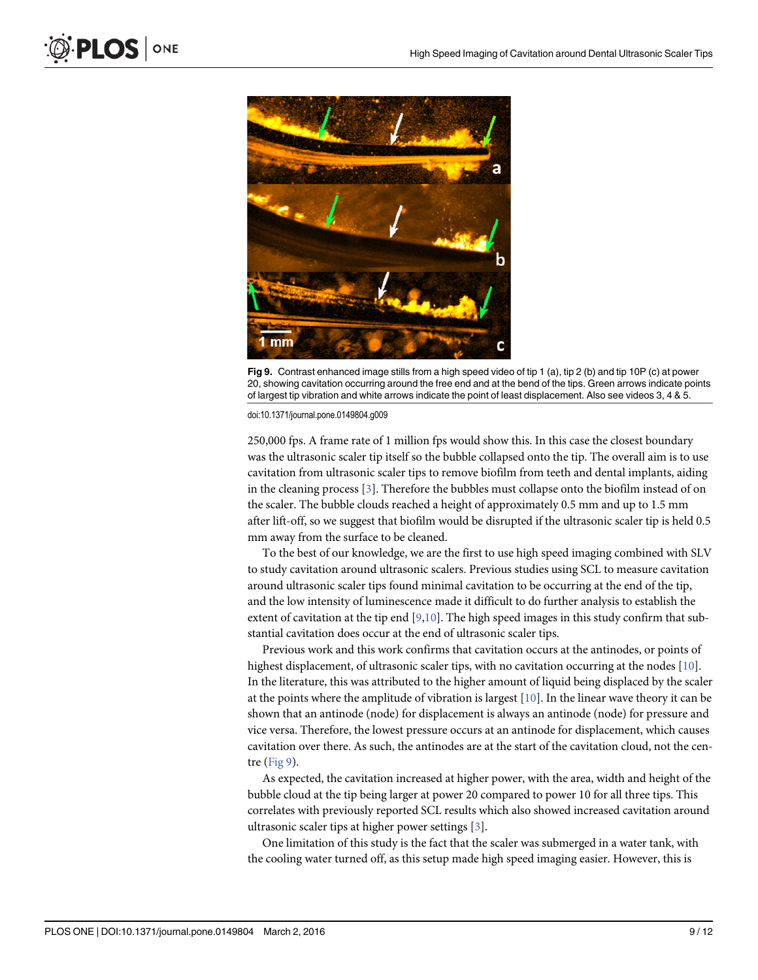<span id="page-9-0"></span>

[Fig 9.](#page-7-0) Contrast enhanced image stills from a high speed video of tip 1 (a), tip 2 (b) and tip 10P (c) at power 20, showing cavitation occurring around the free end and at the bend of the tips. Green arrows indicate points of largest tip vibration and white arrows indicate the point of least displacement. Also see videos 3, 4 & 5.

250,000 fps. A frame rate of 1 million fps would show this. In this case the closest boundary was the ultrasonic scaler tip itself so the bubble collapsed onto the tip. The overall aim is to use cavitation from ultrasonic scaler tips to remove biofilm from teeth and dental implants, aiding in the cleaning process [[3](#page-11-0)]. Therefore the bubbles must collapse onto the biofilm instead of on the scaler. The bubble clouds reached a height of approximately 0.5 mm and up to 1.5 mm after lift-off, so we suggest that biofilm would be disrupted if the ultrasonic scaler tip is held 0.5 mm away from the surface to be cleaned.

To the best of our knowledge, we are the first to use high speed imaging combined with SLV to study cavitation around ultrasonic scalers. Previous studies using SCL to measure cavitation around ultrasonic scaler tips found minimal cavitation to be occurring at the end of the tip, and the low intensity of luminescence made it difficult to do further analysis to establish the extent of cavitation at the tip end  $[9,10]$ . The high speed images in this study confirm that substantial cavitation does occur at the end of ultrasonic scaler tips.

Previous work and this work confirms that cavitation occurs at the antinodes, or points of highest displacement, of ultrasonic scaler tips, with no cavitation occurring at the nodes [[10](#page-11-0)]. In the literature, this was attributed to the higher amount of liquid being displaced by the scaler at the points where the amplitude of vibration is largest  $[10]$  $[10]$  $[10]$ . In the linear wave theory it can be shown that an antinode (node) for displacement is always an antinode (node) for pressure and vice versa. Therefore, the lowest pressure occurs at an antinode for displacement, which causes cavitation over there. As such, the antinodes are at the start of the cavitation cloud, not the centre  $(Fig 9)$ .

As expected, the cavitation increased at higher power, with the area, width and height of the bubble cloud at the tip being larger at power 20 compared to power 10 for all three tips. This correlates with previously reported SCL results which also showed increased cavitation around ultrasonic scaler tips at higher power settings [\[3](#page-11-0)].

One limitation of this study is the fact that the scaler was submerged in a water tank, with the cooling water turned off, as this setup made high speed imaging easier. However, this is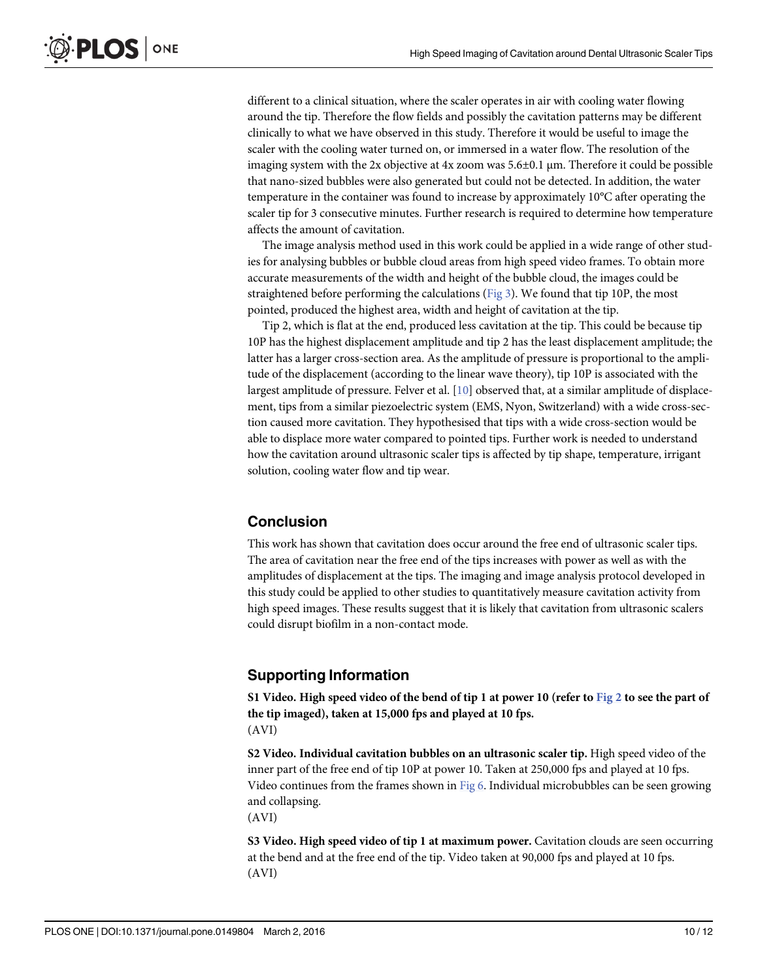<span id="page-10-0"></span>different to a clinical situation, where the scaler operates in air with cooling water flowing around the tip. Therefore the flow fields and possibly the cavitation patterns may be different clinically to what we have observed in this study. Therefore it would be useful to image the scaler with the cooling water turned on, or immersed in a water flow. The resolution of the imaging system with the 2x objective at  $4x$  zoom was  $5.6\pm0.1$   $\mu$ m. Therefore it could be possible that nano-sized bubbles were also generated but could not be detected. In addition, the water temperature in the container was found to increase by approximately 10°C after operating the scaler tip for 3 consecutive minutes. Further research is required to determine how temperature affects the amount of cavitation.

The image analysis method used in this work could be applied in a wide range of other studies for analysing bubbles or bubble cloud areas from high speed video frames. To obtain more accurate measurements of the width and height of the bubble cloud, the images could be straightened before performing the calculations [\(Fig 3\)](#page-4-0). We found that tip 10P, the most pointed, produced the highest area, width and height of cavitation at the tip.

Tip 2, which is flat at the end, produced less cavitation at the tip. This could be because tip 10P has the highest displacement amplitude and tip 2 has the least displacement amplitude; the latter has a larger cross-section area. As the amplitude of pressure is proportional to the amplitude of the displacement (according to the linear wave theory), tip 10P is associated with the largest amplitude of pressure. Felver et al. [\[10\]](#page-11-0) observed that, at a similar amplitude of displacement, tips from a similar piezoelectric system (EMS, Nyon, Switzerland) with a wide cross-section caused more cavitation. They hypothesised that tips with a wide cross-section would be able to displace more water compared to pointed tips. Further work is needed to understand how the cavitation around ultrasonic scaler tips is affected by tip shape, temperature, irrigant solution, cooling water flow and tip wear.

#### Conclusion

This work has shown that cavitation does occur around the free end of ultrasonic scaler tips. The area of cavitation near the free end of the tips increases with power as well as with the amplitudes of displacement at the tips. The imaging and image analysis protocol developed in this study could be applied to other studies to quantitatively measure cavitation activity from high speed images. These results suggest that it is likely that cavitation from ultrasonic scalers could disrupt biofilm in a non-contact mode.

#### Supporting Information

[S1 Video](http://www.plosone.org/article/fetchSingleRepresentation.action?uri=info:doi/10.1371/journal.pone.0149804.s001). High speed video of the bend of tip 1 at power 10 (refer to [Fig 2](#page-3-0) to see the part of the tip imaged), taken at 15,000 fps and played at 10 fps. (AVI)

[S2 Video](http://www.plosone.org/article/fetchSingleRepresentation.action?uri=info:doi/10.1371/journal.pone.0149804.s002). Individual cavitation bubbles on an ultrasonic scaler tip. High speed video of the inner part of the free end of tip 10P at power 10. Taken at 250,000 fps and played at 10 fps. Video continues from the frames shown in [Fig 6.](#page-6-0) Individual microbubbles can be seen growing and collapsing.

(AVI)

[S3 Video](http://www.plosone.org/article/fetchSingleRepresentation.action?uri=info:doi/10.1371/journal.pone.0149804.s003). High speed video of tip 1 at maximum power. Cavitation clouds are seen occurring at the bend and at the free end of the tip. Video taken at 90,000 fps and played at 10 fps. (AVI)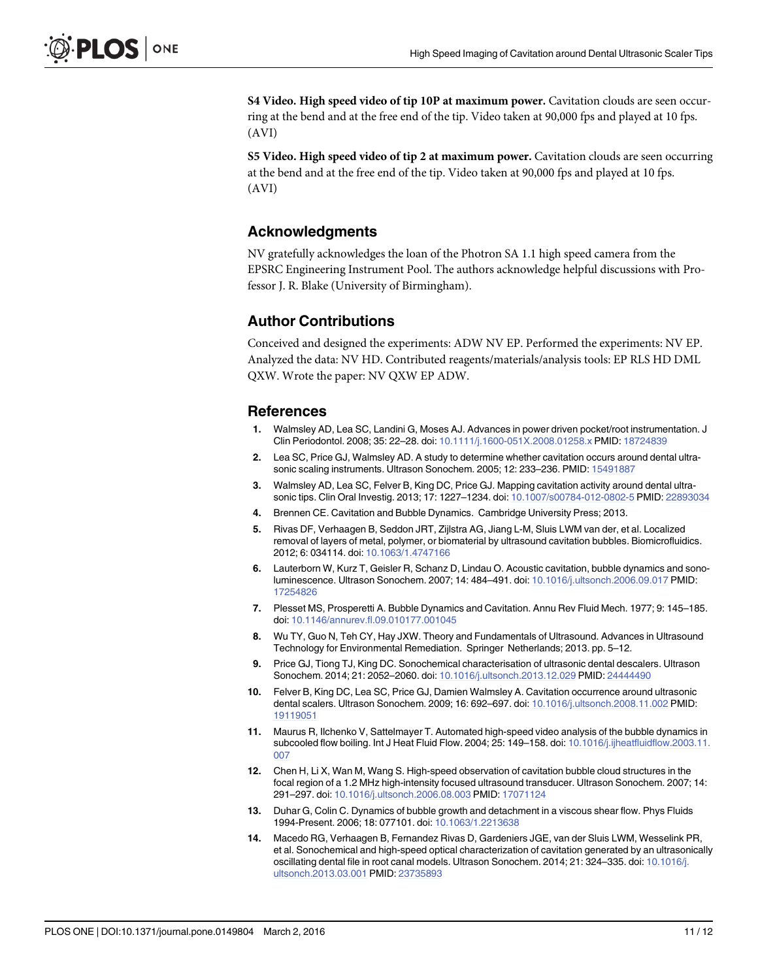<span id="page-11-0"></span>[S4 Video](http://www.plosone.org/article/fetchSingleRepresentation.action?uri=info:doi/10.1371/journal.pone.0149804.s005). High speed video of tip 10P at maximum power. Cavitation clouds are seen occurring at the bend and at the free end of the tip. Video taken at 90,000 fps and played at 10 fps. (AVI)

[S5 Video](http://www.plosone.org/article/fetchSingleRepresentation.action?uri=info:doi/10.1371/journal.pone.0149804.s005). High speed video of tip 2 at maximum power. Cavitation clouds are seen occurring at the bend and at the free end of the tip. Video taken at 90,000 fps and played at 10 fps. (AVI)

#### Acknowledgments

NV gratefully acknowledges the loan of the Photron SA 1.1 high speed camera from the EPSRC Engineering Instrument Pool. The authors acknowledge helpful discussions with Professor J. R. Blake (University of Birmingham).

#### Author Contributions

Conceived and designed the experiments: ADW NV EP. Performed the experiments: NV EP. Analyzed the data: NV HD. Contributed reagents/materials/analysis tools: EP RLS HD DML QXW. Wrote the paper: NV QXW EP ADW.

#### References

- [1.](#page-1-0) Walmsley AD, Lea SC, Landini G, Moses AJ. Advances in power driven pocket/root instrumentation. J Clin Periodontol. 2008; 35: 22–28. doi: [10.1111/j.1600-051X.2008.01258.x](http://dx.doi.org/10.1111/j.1600-051X.2008.01258.x) PMID: [18724839](http://www.ncbi.nlm.nih.gov/pubmed/18724839)
- [2.](#page-1-0) Lea SC, Price GJ, Walmsley AD. A study to determine whether cavitation occurs around dental ultra-sonic scaling instruments. Ultrason Sonochem. 2005; 12: 233-236. PMID: [15491887](http://www.ncbi.nlm.nih.gov/pubmed/15491887)
- [3.](#page-1-0) Walmsley AD, Lea SC, Felver B, King DC, Price GJ. Mapping cavitation activity around dental ultrasonic tips. Clin Oral Investig. 2013; 17: 1227–1234. doi: [10.1007/s00784-012-0802-5](http://dx.doi.org/10.1007/s00784-012-0802-5) PMID: [22893034](http://www.ncbi.nlm.nih.gov/pubmed/22893034)
- [4.](#page-1-0) Brennen CE. Cavitation and Bubble Dynamics. Cambridge University Press; 2013.
- [5.](#page-2-0) Rivas DF, Verhaagen B, Seddon JRT, Zijlstra AG, Jiang L-M, Sluis LWM van der, et al. Localized removal of layers of metal, polymer, or biomaterial by ultrasound cavitation bubbles. Biomicrofluidics. 2012; 6: 034114. doi: [10.1063/1.4747166](http://dx.doi.org/10.1063/1.4747166)
- [6.](#page-2-0) Lauterborn W, Kurz T, Geisler R, Schanz D, Lindau O. Acoustic cavitation, bubble dynamics and sonoluminescence. Ultrason Sonochem. 2007; 14: 484–491. doi: [10.1016/j.ultsonch.2006.09.017](http://dx.doi.org/10.1016/j.ultsonch.2006.09.017) PMID: [17254826](http://www.ncbi.nlm.nih.gov/pubmed/17254826)
- 7. Plesset MS, Prosperetti A. Bubble Dynamics and Cavitation. Annu Rev Fluid Mech. 1977; 9: 145–185. doi: [10.1146/annurev.fl.09.010177.001045](http://dx.doi.org/10.1146/annurev.fl.09.010177.001045)
- [8.](#page-2-0) Wu TY, Guo N, Teh CY, Hay JXW. Theory and Fundamentals of Ultrasound. Advances in Ultrasound Technology for Environmental Remediation. Springer Netherlands; 2013. pp. 5–12.
- [9.](#page-2-0) Price GJ, Tiong TJ, King DC. Sonochemical characterisation of ultrasonic dental descalers. Ultrason Sonochem. 2014; 21: 2052–2060. doi: [10.1016/j.ultsonch.2013.12.029](http://dx.doi.org/10.1016/j.ultsonch.2013.12.029) PMID: [24444490](http://www.ncbi.nlm.nih.gov/pubmed/24444490)
- [10.](#page-2-0) Felver B, King DC, Lea SC, Price GJ, Damien Walmsley A. Cavitation occurrence around ultrasonic dental scalers. Ultrason Sonochem. 2009; 16: 692–697. doi: [10.1016/j.ultsonch.2008.11.002](http://dx.doi.org/10.1016/j.ultsonch.2008.11.002) PMID: [19119051](http://www.ncbi.nlm.nih.gov/pubmed/19119051)
- [11.](#page-2-0) Maurus R, Ilchenko V, Sattelmayer T. Automated high-speed video analysis of the bubble dynamics in subcooled flow boiling. Int J Heat Fluid Flow. 2004; 25: 149–158. doi: [10.1016/j.ijheatfluidflow.2003.11.](http://dx.doi.org/10.1016/j.ijheatfluidflow.2003.11.007) [007](http://dx.doi.org/10.1016/j.ijheatfluidflow.2003.11.007)
- 12. Chen H, Li X, Wan M, Wang S. High-speed observation of cavitation bubble cloud structures in the focal region of a 1.2 MHz high-intensity focused ultrasound transducer. Ultrason Sonochem. 2007; 14: 291–297. doi: [10.1016/j.ultsonch.2006.08.003](http://dx.doi.org/10.1016/j.ultsonch.2006.08.003) PMID: [17071124](http://www.ncbi.nlm.nih.gov/pubmed/17071124)
- [13.](#page-2-0) Duhar G, Colin C. Dynamics of bubble growth and detachment in a viscous shear flow. Phys Fluids 1994-Present. 2006; 18: 077101. doi: [10.1063/1.2213638](http://dx.doi.org/10.1063/1.2213638)
- [14.](#page-2-0) Macedo RG, Verhaagen B, Fernandez Rivas D, Gardeniers JGE, van der Sluis LWM, Wesselink PR, et al. Sonochemical and high-speed optical characterization of cavitation generated by an ultrasonically oscillating dental file in root canal models. Ultrason Sonochem. 2014; 21: 324–335. doi: [10.1016/j.](http://dx.doi.org/10.1016/j.ultsonch.2013.03.001) [ultsonch.2013.03.001](http://dx.doi.org/10.1016/j.ultsonch.2013.03.001) PMID: [23735893](http://www.ncbi.nlm.nih.gov/pubmed/23735893)